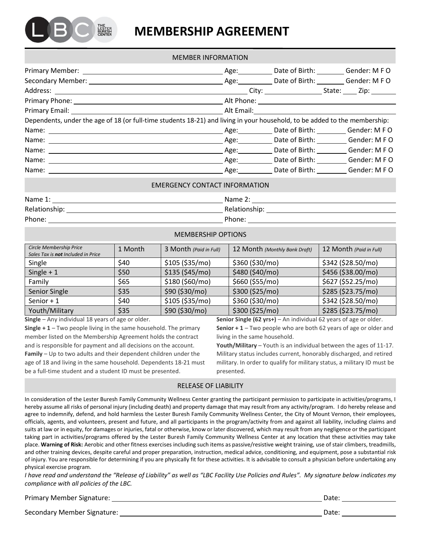

# **MEMBERSHIP AGREEMENT**

|                                                                                                                            | <b>MEMBER INFORMATION</b> |                                   |
|----------------------------------------------------------------------------------------------------------------------------|---------------------------|-----------------------------------|
|                                                                                                                            |                           |                                   |
|                                                                                                                            |                           |                                   |
|                                                                                                                            |                           |                                   |
|                                                                                                                            |                           |                                   |
|                                                                                                                            |                           |                                   |
| Dependents, under the age of 18 (or full-time students 18-21) and living in your household, to be added to the membership: |                           |                                   |
|                                                                                                                            |                           |                                   |
|                                                                                                                            |                           | Age: Date of Birth: Gender: M F O |
|                                                                                                                            |                           | Age: Date of Birth: Gender: M F O |
|                                                                                                                            |                           | Age: Date of Birth: Gender: M F O |
|                                                                                                                            |                           | Age: Date of Birth: Gender: M F O |
|                                                                                                                            |                           |                                   |

#### EMERGENCY CONTACT INFORMATION

| Name 1:       | Name 2:       |
|---------------|---------------|
| Relationship: | Relationship: |
| Phone:        | Phone:        |

MEMBERSHIP OPTIONS

| Circle Membership Price            | 1 Month | 3 Month (Paid in Full) | 12 Month (Monthly Bank Draft) | 12 Month (Paid in Full) |
|------------------------------------|---------|------------------------|-------------------------------|-------------------------|
| Sales Tax is not Included in Price |         |                        |                               |                         |
| Single                             | \$40    | \$105 (\$35/mol)       | \$360 (\$30/mo)               | \$342 (\$28.50/mo)      |
| Single $+1$                        | \$50    | \$135 (\$45/mo)        | \$480 (\$40/mo)               | \$456 (\$38.00/mo)      |
| Family                             | \$65    | \$180 (\$60/mo)        | \$660 (\$55/mo)               | \$627 (\$52.25/mo)      |
| Senior Single                      | \$35    | \$90 (\$30/mo)         | \$300 (\$25/mo)               | \$285 (\$23.75/mo)      |
| Senior $+1$                        | \$40    | \$105 (\$35/mol)       | \$360 (\$30/mo)               | \$342 (\$28.50/mo)      |
| Youth/Military                     | \$35    | \$90 (\$30/mo)         | \$300 (\$25/mo)               | \$285 (\$23.75/mo)      |

**Single** – Any individual 18 years of age or older.

**Single + 1** – Two people living in the same household. The primary member listed on the Membership Agreement holds the contract and is responsible for payment and all decisions on the account. **Family** – Up to two adults and their dependent children under the age of 18 and living in the same household. Dependents 18-21 must be a full-time student and a student ID must be presented.

**Senior Single (62 yrs+)** – An individual 62 years of age or older. **Senior + 1** – Two people who are both 62 years of age or older and

living in the same household. **Youth/Military** – Youth is an individual between the ages of 11-17. Military status includes current, honorably discharged, and retired military. In order to qualify for military status, a military ID must be presented.

# RELEASE OF LIABILITY

In consideration of the Lester Buresh Family Community Wellness Center granting the participant permission to participate in activities/programs, I hereby assume all risks of personal injury (including death) and property damage that may result from any activity/program. I do hereby release and agree to indemnify, defend, and hold harmless the Lester Buresh Family Community Wellness Center, the City of Mount Vernon, their employees, officials, agents, and volunteers, present and future, and all participants in the program/activity from and against all liability, including claims and suits at law or in equity, for damages or injuries, fatal or otherwise, know or later discovered, which may result from any negligence or the participant taking part in activities/programs offered by the Lester Buresh Family Community Wellness Center at any location that these activities may take place. **Warning of Risk:** Aerobic and other fitness exercises including such items as passive/resistive weight training, use of stair climbers, treadmills, and other training devices, despite careful and proper preparation, instruction, medical advice, conditioning, and equipment, pose a substantial risk of injury. You are responsible for determining if you are physically fit for these activities. It is advisable to consult a physician before undertaking any physical exercise program.

*I have read and understand the "Release of Liability" as well as "LBC Facility Use Policies and Rules". My signature below indicates my compliance with all policies of the LBC.* 

| <b>Primary Member Signature:</b> | Date: |
|----------------------------------|-------|
|----------------------------------|-------|

Secondary Member Signature: New York 2012 19:30 Application of the Conduct of the Date: Date: Date: Date: Date: